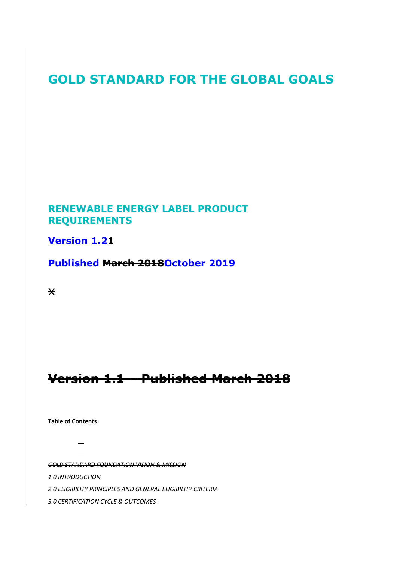# **GOLD STANDARD FOR THE GLOBAL GOALS**

# **RENEWABLE ENERGY LABEL PRODUCT REQUIREMENTS**

# **Version 1.21**

# **Published March 2018October 2019**

 $\star$ 

# **Version 1.1 – Published March 2018**

**Table of Contents**

 $\overline{\phantom{0}}$ 

*GOLD STANDARD FOUNDATION VISION & MISSION*

*1.0 INTRODUCTION*

*2.0 ELIGIBILITY PRINCIPLES AND GENERAL ELIGIBILITY CRITERIA*

*3.0 CERTIFICATION CYCLE & OUTCOMES*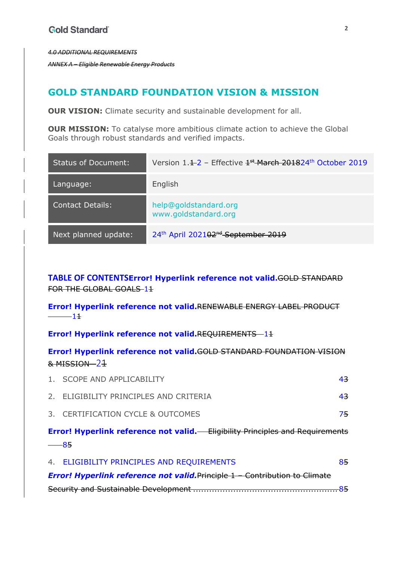*4.0 ADDITIONAL REQUIREMENTS*

*ANNEX A – Eligible Renewable Energy Products*

# **GOLD STANDARD FOUNDATION VISION & MISSION**

**OUR VISION:** Climate security and sustainable development for all.

**OUR MISSION:** To catalyse more ambitious climate action to achieve the Global Goals through robust standards and verified impacts.

| <b>Status of Document:</b> | Version $1.1 - 2$ – Effective $1 + 1$ March 201824 <sup>th</sup> October 2019 |
|----------------------------|-------------------------------------------------------------------------------|
| Language:                  | English                                                                       |
| <b>Contact Details:</b>    | help@goldstandard.org<br>www.goldstandard.org                                 |
| Next planned update:       | 24th April 202102 <sup>nd</sup> September 2019                                |

**TABLE OF CONTENTSError! Hyperlink reference not valid.**GOLD STANDARD FOR THE GLOBAL GOALS-11

**Error! Hyperlink reference not valid.**RENEWABLE ENERGY LABEL PRODUCT  $-11$ 

**Error! Hyperlink reference not valid.REQUIREMENTS** -1+

**Error! Hyperlink reference not valid.**GOLD STANDARD FOUNDATION VISION & MISSION 21

|                                                                                      | — 85                                   |     |  |  |
|--------------------------------------------------------------------------------------|----------------------------------------|-----|--|--|
| <b>Error! Hyperlink reference not valid.</b> Eligibility Principles and Requirements |                                        |     |  |  |
|                                                                                      | 3. CERTIFICATION CYCLE & OUTCOMES      | 75. |  |  |
|                                                                                      | 2. ELIGIBILITY PRINCIPLES AND CRITERIA | 43. |  |  |
|                                                                                      | 1. SCOPE AND APPLICABILITY             | 43. |  |  |

| 4. ELIGIBILITY PRINCIPLES AND REQUIREMENTS                                         | 85. |
|------------------------------------------------------------------------------------|-----|
| <b>Error! Hyperlink reference not valid. Principle 1 – Contribution to Climate</b> |     |
|                                                                                    |     |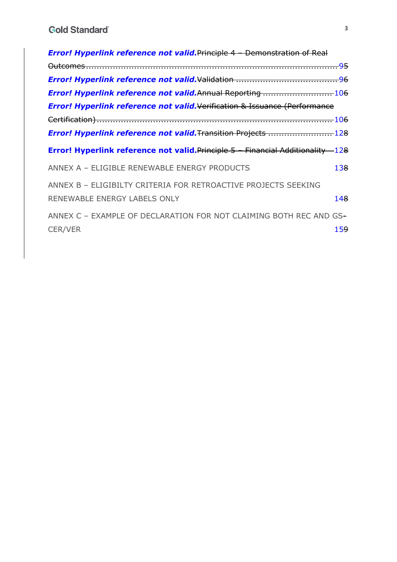| <b>Error! Hyperlink reference not valid. Principle 4 - Demonstration of Real</b>       |      |
|----------------------------------------------------------------------------------------|------|
|                                                                                        |      |
|                                                                                        |      |
| <b>Error! Hyperlink reference not valid. Annual Reporting </b> 106                     |      |
| <b>Error! Hyperlink reference not valid. Verification &amp; Issuance (Performance</b>  |      |
|                                                                                        |      |
| <b>Error! Hyperlink reference not valid. Transition Projects </b> 128                  |      |
| <b>Error! Hyperlink reference not valid. Principle 5 - Financial Additionality 128</b> |      |
| ANNEX A - ELIGIBLE RENEWABLE ENERGY PRODUCTS                                           | 138. |
| ANNEX B - ELIGIBILTY CRITERIA FOR RETROACTIVE PROJECTS SEEKING                         |      |
| RENEWABLE ENERGY LABELS ONLY                                                           | 148  |
| ANNEX C - EXAMPLE OF DECLARATION FOR NOT CLAIMING BOTH REC AND GS-                     |      |
| <b>CER/VER</b>                                                                         | 159  |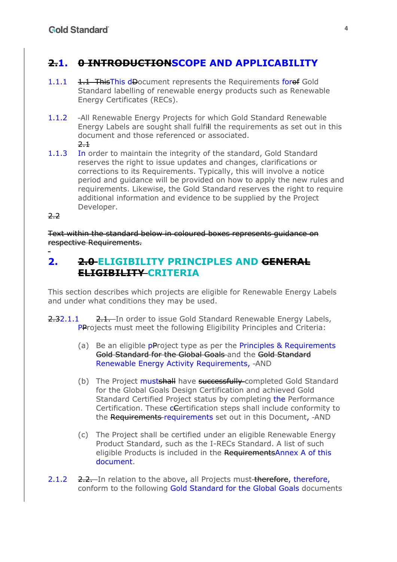# **2.1. 0 INTRODUCTIONSCOPE AND APPLICABILITY**

- 1.1.1 1.1 ThisThis dDocument represents the Requirements forof Gold Standard labelling of renewable energy products such as Renewable Energy Certificates (RECs).
- 1.1.2 -All Renewable Energy Projects for which Gold Standard Renewable Energy Labels are sought shall fulfill the requirements as set out in this document and those referenced or associated.  $2 +$
- 1.1.3 In order to maintain the integrity of the standard, Gold Standard reserves the right to issue updates and changes, clarifications or corrections to its Requirements. Typically, this will involve a notice period and guidance will be provided on how to apply the new rules and requirements. Likewise, the Gold Standard reserves the right to require additional information and evidence to be supplied by the Project Developer.
- 2.2

Text within the standard below in coloured boxes represents guidance on respective Requirements.

# **2. 2.0 ELIGIBILITY PRINCIPLES AND GENERAL ELIGIBILITY CRITERIA**

This section describes which projects are eligible for Renewable Energy Labels and under what conditions they may be used.

- 2.32.1.1 2.1. In order to issue Gold Standard Renewable Energy Labels, PProjects must meet the following Eligibility Principles and Criteria:
	- (a) Be an eligible **pProject type as per the Principles & Requirements** Gold Standard for the Global Goals and the Gold Standard Renewable Energy Activity Requirements, AND
	- (b) The Project mustshall have successfully completed Gold Standard for the Global Goals Design Certification and achieved Gold Standard Certified Project status by completing the Performance Certification. These cCertification steps shall include conformity to the Requirements requirements set out in this Document, -AND
	- (c) The Project shall be certified under an eligible Renewable Energy Product Standard, such as the I-RECs Standard. A list of such eligible Products is included in the RequirementsAnnex A of this document.
- 2.1.2 2.2. In relation to the above, all Projects must therefore, therefore, conform to the following Gold Standard for the Global Goals documents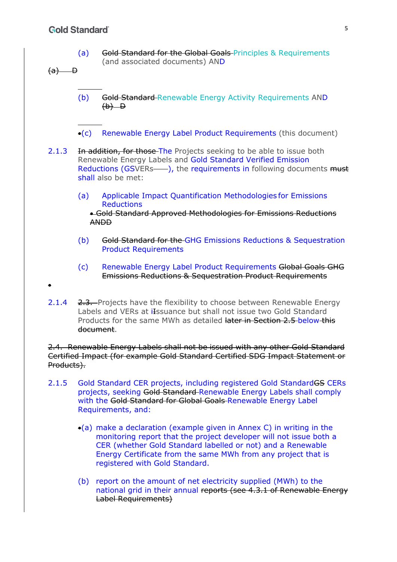#### **Gold Standard**

- (a) Gold Standard for the Global Goals Principles & Requirements (and associated documents) AND
- $(a)$  D

 $\bullet$ 

- (b) Gold Standard Renewable Energy Activity Requirements AND  $(b)-b$
- (c) Renewable Energy Label Product Requirements (this document)
- 2.1.3 In addition, for those The Projects seeking to be able to issue both Renewable Energy Labels and Gold Standard Verified Emission Reductions (GSVERs-), the requirements in following documents must shall also be met:
	- (a) Applicable Impact Quantification Methodologies for Emissions **Reductions**

 Gold Standard Approved Methodologies for Emissions Reductions ANDD

- (b) Gold Standard for the GHG Emissions Reductions & Sequestration Product Requirements
- (c) Renewable Energy Label Product Requirements Global Goals GHG Emissions Reductions & Sequestration Product Requirements
- 2.1.4 2.3. Projects have the flexibility to choose between Renewable Energy Labels and VERs at iIssuance but shall not issue two Gold Standard Products for the same MWh as detailed later in Section 2.5 below this document.

2.4. Renewable Energy Labels shall not be issued with any other Gold Standard Certified Impact (for example Gold Standard Certified SDG Impact Statement or Products).

- 2.1.5 Gold Standard CER projects, including registered Gold Standard GS CERs projects, seeking Gold Standard Renewable Energy Labels shall comply with the Gold Standard for Global Goals Renewable Energy Label Requirements, and:
	- $\bullet$ (a) make a declaration (example given in Annex C) in writing in the monitoring report that the project developer will not issue both a CER (whether Gold Standard labelled or not) and a Renewable Energy Certificate from the same MWh from any project that is registered with Gold Standard.
	- (b) report on the amount of net electricity supplied (MWh) to the national grid in their annual reports (see 4.3.1 of Renewable Energy Label Requirements)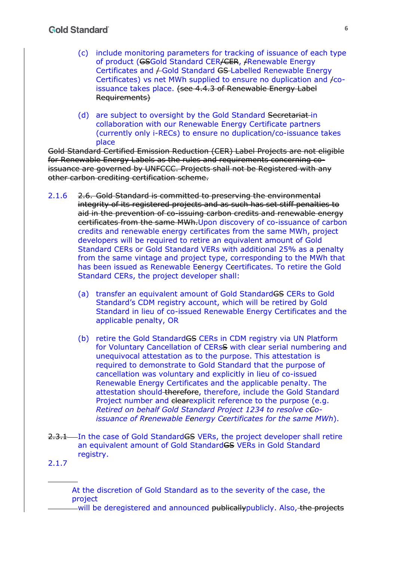- (c) include monitoring parameters for tracking of issuance of each type of product (GSGold Standard CER/CER, /Renewable Energy Certificates and *H*Gold Standard GS-Labelled Renewable Energy Certificates) vs net MWh supplied to ensure no duplication and /coissuance takes place. (see 4.4.3 of Renewable Energy Label Requirements)
- (d) are subject to oversight by the Gold Standard Secretariat in collaboration with our Renewable Energy Certificate partners (currently only i-RECs) to ensure no duplication/co-issuance takes place

Gold Standard Certified Emission Reduction (CER) Label Projects are not eligible for Renewable Energy Labels as the rules and requirements concerning coissuance are governed by UNFCCC. Projects shall not be Registered with any other carbon crediting certification scheme.

- 2.1.6 2.6. Gold Standard is committed to preserving the environmental integrity of its registered projects and as such has set stiff penalties to aid in the prevention of co-issuing carbon credits and renewable energy certificates from the same MWh.Upon discovery of co-issuance of carbon credits and renewable energy certificates from the same MWh, project developers will be required to retire an equivalent amount of Gold Standard CERs or Gold Standard VERs with additional 25% as a penalty from the same vintage and project type, corresponding to the MWh that has been issued as Renewable Eenergy Ceertificates. To retire the Gold Standard CERs, the project developer shall:
	- (a) transfer an equivalent amount of Gold StandardGS CERs to Gold Standard's CDM registry account, which will be retired by Gold Standard in lieu of co-issued Renewable Energy Certificates and the applicable penalty, OR
	- (b) retire the Gold Standard GS CERs in CDM registry via UN Platform for Voluntary Cancellation of CERsS with clear serial numbering and unequivocal attestation as to the purpose. This attestation is required to demonstrate to Gold Standard that the purpose of cancellation was voluntary and explicitly in lieu of co-issued Renewable Energy Certificates and the applicable penalty. The attestation should therefore, therefore, include the Gold Standard Project number and elearexplicit reference to the purpose (e.g. *Retired on behalf Gold Standard Project 1234 to resolve cCoissuance of Rrenewable Eenergy Ccertificates for the same MWh*).
- 2.3.1 In the case of Gold Standard GS VERs, the project developer shall retire an equivalent amount of Gold Standard GS VERs in Gold Standard registry.
- 2.1.7

At the discretion of Gold Standard as to the severity of the case, the project

-will be deregistered and announced publicallypublicly. Also, the projects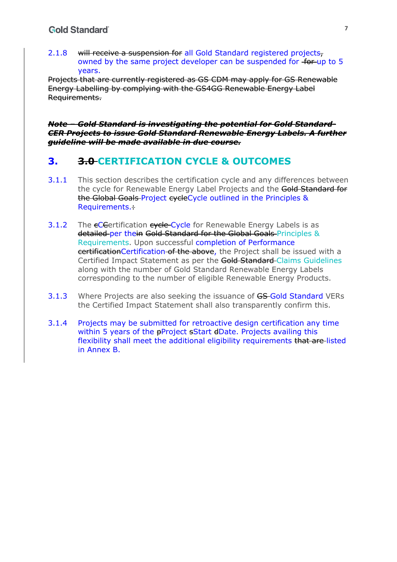2.1.8 will receive a suspension for all Gold Standard registered projects, owned by the same project developer can be suspended for for up to 5 years.

Projects that are currently registered as GS CDM may apply for GS Renewable Energy Labelling by complying with the GS4GG Renewable Energy Label Requirements.

*Note – Gold Standard is investigating the potential for Gold Standard-CER Projects to issue Gold Standard Renewable Energy Labels. A further guideline will be made available in due course.* 

# **3. 3.0 CERTIFICATION CYCLE & OUTCOMES**

- 3.1.1 This section describes the certification cycle and any differences between the cycle for Renewable Energy Label Projects and the Gold Standard for the Global Goals Project cycleCycle outlined in the Principles & Requirements.:
- 3.1.2 The eCE ertification evele-Cycle for Renewable Energy Labels is as detailed per thein Gold Standard for the Global Goals Principles & Requirements. Upon successful completion of Performance certificationCertification of the above, the Project shall be issued with a Certified Impact Statement as per the Gold Standard Claims Guidelines along with the number of Gold Standard Renewable Energy Labels corresponding to the number of eligible Renewable Energy Products.
- 3.1.3 Where Projects are also seeking the issuance of GS-Gold Standard VERs the Certified Impact Statement shall also transparently confirm this.
- 3.1.4 Projects may be submitted for retroactive design certification any time within 5 years of the **pProject sStart dDate**. Projects availing this flexibility shall meet the additional eligibility requirements that are listed in Annex B.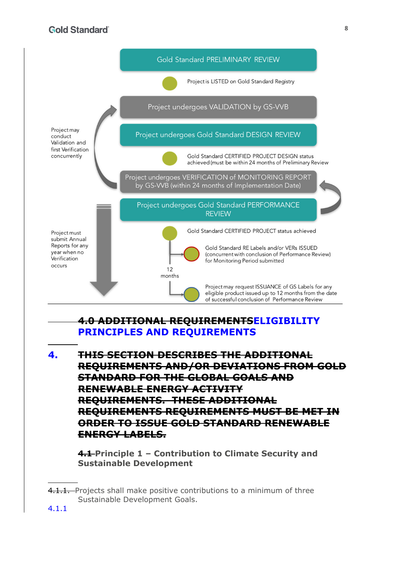### **Gold Standard**



## **4.0 ADDITIONAL REQUIREMENTSELIGIBILITY PRINCIPLES AND REQUIREMENTS**

**4. THIS SECTION DESCRIBES THE ADDITIONAL REQUIREMENTS AND/OR DEVIATIONS FROM GOLD STANDARD FOR THE GLOBAL GOALS AND RENEWABLE ENERGY ACTIVITY REQUIREMENTS. THESE ADDITIONAL REQUIREMENTS REQUIREMENTS MUST BE MET IN ORDER TO ISSUE GOLD STANDARD RENEWABLE ENERGY LABELS.**

**4.1 Principle 1 – Contribution to Climate Security and Sustainable Development**

<sup>4.1.1.</sup> Projects shall make positive contributions to a minimum of three Sustainable Development Goals.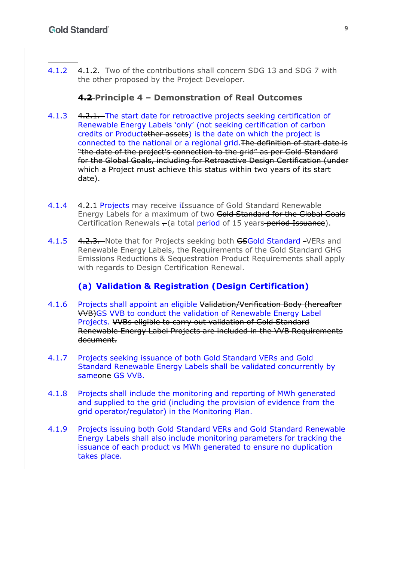4.1.2 4.1.2. Two of the contributions shall concern SDG 13 and SDG 7 with the other proposed by the Project Developer.

#### **4.2 Principle 4 – Demonstration of Real Outcomes**

- 4.1.3 4.2.1. The start date for retroactive projects seeking certification of Renewable Energy Labels 'only' (not seeking certification of carbon credits or Productother assets) is the date on which the project is connected to the national or a regional grid.The definition of start date is "the date of the project's connection to the grid" as per Gold Standard for the Global Goals, including for Retroactive Design Certification (under which a Project must achieve this status within two years of its start date).
- 4.1.4 4.2.1 Projects may receive ilssuance of Gold Standard Renewable Energy Labels for a maximum of two Gold Standard for the Global Goals Certification Renewals - (a total period of 15 years period Issuance).
- 4.1.5 4.2.3. Note that for Projects seeking both GSGold Standard -VERs and Renewable Energy Labels, the Requirements of the Gold Standard GHG Emissions Reductions & Sequestration Product Requirements shall apply with regards to Design Certification Renewal.

#### **(a) Validation & Registration (Design Certification)**

- 4.1.6 Projects shall appoint an eligible Validation/Verification Body (hereafter VVB)GS VVB to conduct the validation of Renewable Energy Label Projects. VVBs eligible to carry out validation of Gold Standard Renewable Energy Label Projects are included in the VVB Requirements document.
- 4.1.7 Projects seeking issuance of both Gold Standard VERs and Gold Standard Renewable Energy Labels shall be validated concurrently by sameone GS VVB.
- 4.1.8 Projects shall include the monitoring and reporting of MWh generated and supplied to the grid (including the provision of evidence from the grid operator/regulator) in the Monitoring Plan.
- 4.1.9 Projects issuing both Gold Standard VERs and Gold Standard Renewable Energy Labels shall also include monitoring parameters for tracking the issuance of each product vs MWh generated to ensure no duplication takes place.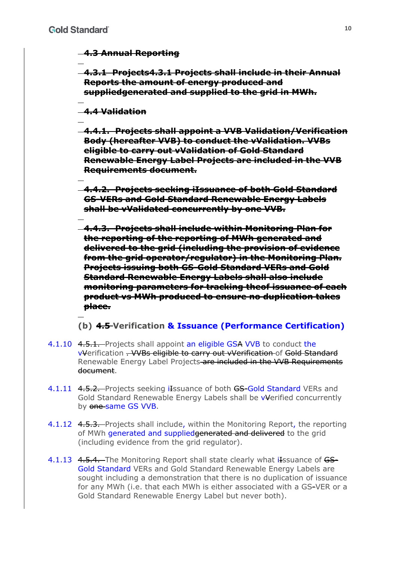#### **4.3 Annual Reporting**

**4.3.1 Projects4.3.1 Projects shall include in their Annual Reports the amount of energy produced and suppliedgenerated and supplied to the grid in MWh.** 

#### **4.4 Validation**

**4.4.1. Projects shall appoint a VVB Validation/Verification Body (hereafter VVB) to conduct the vValidation. VVBs eligible to carry out vValidation of Gold Standard Renewable Energy Label Projects are included in the VVB Requirements document.** 

**4.4.2. Projects seeking iIssuance of both Gold Standard GS-VERs and Gold Standard Renewable Energy Labels shall be vValidated concurrently by one VVB.** 

**4.4.3. Projects shall include within Monitoring Plan for the reporting of the reporting of MWh generated and delivered to the grid (including the provision of evidence from the grid operator/regulator) in the Monitoring Plan. Projects issuing both GS-Gold Standard VERs and Gold Standard Renewable Energy Labels shall also include monitoring parameters for tracking theof issuance of each product vs MWh produced to ensure no duplication takes place.** 

#### **(b) 4.5 Verification & Issuance (Performance Certification)**

- 4.1.10 4.5.1. Projects shall appoint an eligible GSA VVB to conduct the vVerification . VVBs eligible to carry out vVerification of Gold Standard Renewable Energy Label Projects are included in the VVB Requirements document.
- 4.1.11 4.5.2. Projects seeking ilessuance of both GS-Gold Standard VERs and Gold Standard Renewable Energy Labels shall be vVerified concurrently by one same GS VVB.
- 4.1.12 4.5.3. Projects shall include, within the Monitoring Report, the reporting of MWh generated and supplied generated and delivered to the grid (including evidence from the grid regulator).
- 4.1.13 4.5.4. The Monitoring Report shall state clearly what ilssuance of GS-Gold Standard VERs and Gold Standard Renewable Energy Labels are sought including a demonstration that there is no duplication of issuance for any MWh (i.e. that each MWh is either associated with a GS-VER or a Gold Standard Renewable Energy Label but never both).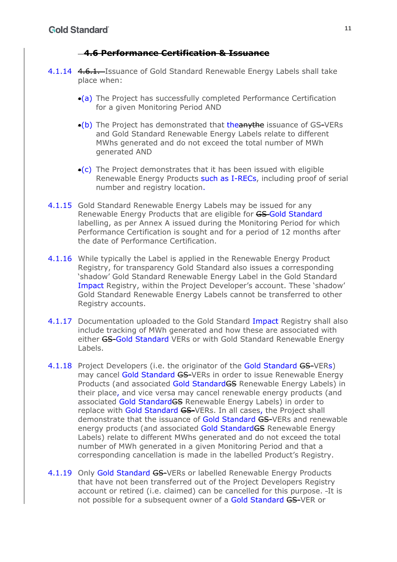#### **4.6 Performance Certification & Issuance**

- 4.1.14 4.6.1. Issuance of Gold Standard Renewable Energy Labels shall take place when:
	- (a) The Project has successfully completed Performance Certification for a given Monitoring Period AND
	- $\bullet$ (b) The Project has demonstrated that the anythe issuance of GS-VERs and Gold Standard Renewable Energy Labels relate to different MWhs generated and do not exceed the total number of MWh generated AND
	- $\left($  c) The Project demonstrates that it has been issued with eligible Renewable Energy Products such as I-RECs, including proof of serial number and registry location.
- 4.1.15 Gold Standard Renewable Energy Labels may be issued for any Renewable Energy Products that are eligible for GS-Gold Standard labelling, as per Annex A issued during the Monitoring Period for which Performance Certification is sought and for a period of 12 months after the date of Performance Certification.
- 4.1.16 While typically the Label is applied in the Renewable Energy Product Registry, for transparency Gold Standard also issues a corresponding 'shadow' Gold Standard Renewable Energy Label in the Gold Standard Impact Registry, within the Project Developer's account. These 'shadow' Gold Standard Renewable Energy Labels cannot be transferred to other Registry accounts.
- 4.1.17 Documentation uploaded to the Gold Standard Impact Registry shall also include tracking of MWh generated and how these are associated with either GS-Gold Standard VERs or with Gold Standard Renewable Energy Labels.
- 4.1.18 Project Developers (i.e. the originator of the Gold Standard GS-VERs) may cancel Gold Standard GS-VERs in order to issue Renewable Energy Products (and associated Gold StandardGS Renewable Energy Labels) in their place, and vice versa may cancel renewable energy products (and associated Gold StandardGS Renewable Energy Labels) in order to replace with Gold Standard GS-VERs. In all cases, the Project shall demonstrate that the issuance of Gold Standard GS-VERs and renewable energy products (and associated Gold Standard GS Renewable Energy Labels) relate to different MWhs generated and do not exceed the total number of MWh generated in a given Monitoring Period and that a corresponding cancellation is made in the labelled Product's Registry.
- 4.1.19 Only Gold Standard GS-VERs or labelled Renewable Energy Products that have not been transferred out of the Project Developers Registry account or retired (i.e. claimed) can be cancelled for this purpose. It is not possible for a subsequent owner of a Gold Standard GS-VER or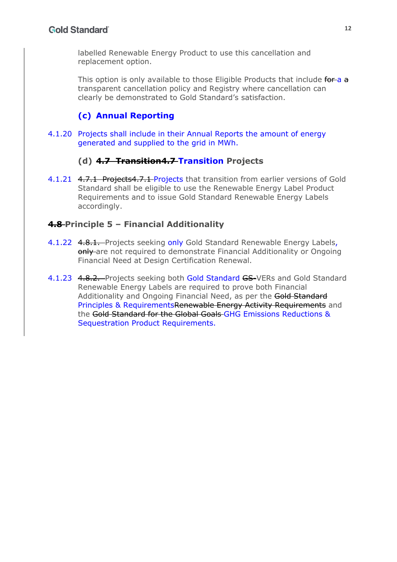labelled Renewable Energy Product to use this cancellation and replacement option.

This option is only available to those Eligible Products that include for a a transparent cancellation policy and Registry where cancellation can clearly be demonstrated to Gold Standard's satisfaction.

# **(c) Annual Reporting**

4.1.20 Projects shall include in their Annual Reports the amount of energy generated and supplied to the grid in MWh.

#### **(d) 4.7 Transition4.7 Transition Projects**

4.1.21 4.7.1 Projects4.7.1 Projects that transition from earlier versions of Gold Standard shall be eligible to use the Renewable Energy Label Product Requirements and to issue Gold Standard Renewable Energy Labels accordingly.

#### **4.8 Principle 5 – Financial Additionality**

- 4.1.22 4.8.1. Projects seeking only Gold Standard Renewable Energy Labels, only are not required to demonstrate Financial Additionality or Ongoing Financial Need at Design Certification Renewal.
- 4.1.23 4.8.2. Projects seeking both Gold Standard GS-VERs and Gold Standard Renewable Energy Labels are required to prove both Financial Additionality and Ongoing Financial Need, as per the Gold Standard Principles & RequirementsRenewable Energy Activity Requirements and the Gold Standard for the Global Goals GHG Emissions Reductions & Sequestration Product Requirements.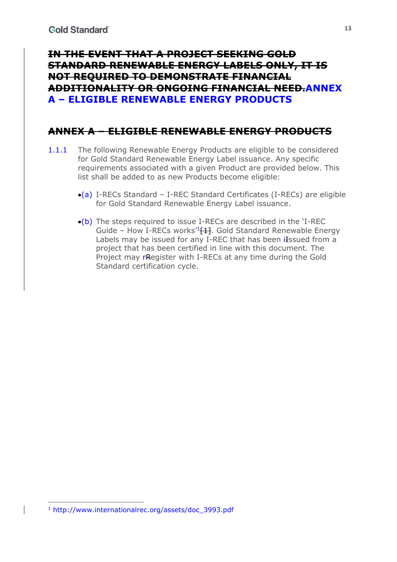# **IN THE EVENT THAT A PROJECT SEEKING GOLD STANDARD RENEWABLE ENERGY LABELS ONLY, IT IS NOT REQUIRED TO DEMONSTRATE FINANCIAL ADDITIONALITY OR ONGOING FINANCIAL NEED.ANNEX A – ELIGIBLE RENEWABLE ENERGY PRODUCTS**

# **ANNEX A – ELIGIBLE RENEWABLE ENERGY PRODUCTS**

- 1.1.1 The following Renewable Energy Products are eligible to be considered for Gold Standard Renewable Energy Label issuance. Any specific requirements associated with a given Product are provided below. This list shall be added to as new Products become eligible:
	- $\bullet$ (a) I-RECs Standard I-REC Standard Certificates (I-RECs) are eligible for Gold Standard Renewable Energy Label issuance.
	- (b) The steps required to issue I-RECs are described in the 'I-REC Guide – How I-RECs works<sup>'1</sup> $[1]$ . Gold Standard Renewable Energy Labels may be issued for any I-REC that has been ilssued from a project that has been certified in line with this document. The Project may rRegister with I-RECs at any time during the Gold Standard certification cycle.

<sup>1</sup> http://www.internationalrec.org/assets/doc\_3993.pdf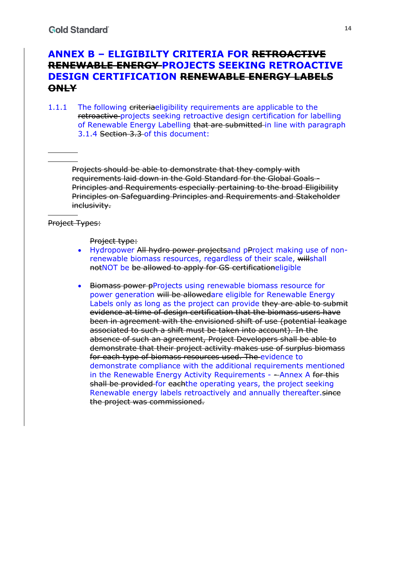# **ANNEX B – ELIGIBILTY CRITERIA FOR RETROACTIVE RENEWABLE ENERGY PROJECTS SEEKING RETROACTIVE DESIGN CERTIFICATION RENEWABLE ENERGY LABELS ONLY**

1.1.1 The following criteriaeligibility requirements are applicable to the retroactive projects seeking retroactive design certification for labelling of Renewable Energy Labelling that are submitted in line with paragraph 3.1.4 Section 3.3 of this document:

Projects should be able to demonstrate that they comply with requirements laid down in the Gold Standard for the Global Goals - Principles and Requirements especially pertaining to the broad Eligibility Principles on Safeguarding Principles and Requirements and Stakeholder inclusivity.

#### Project Types:

Project type:

- Hydropower All hydro power projectsand pProject making use of nonrenewable biomass resources, regardless of their scale, willshall notNOT be be allowed to apply for GS certificationeligible
- **Biomass power pProjects using renewable biomass resource for** power generation will be allowedare eligible for Renewable Energy Labels only as long as the project can provide they are able to submit evidence at time of design certification that the biomass users have been in agreement with the envisioned shift of use (potential leakage associated to such a shift must be taken into account). In the absence of such an agreement, Project Developers shall be able to demonstrate that their project activity makes use of surplus biomass for each type of biomass resources used. The evidence to demonstrate compliance with the additional requirements mentioned in the Renewable Energy Activity Requirements -  $-An$ nex A for this shall be provided for eachthe operating years, the project seeking Renewable energy labels retroactively and annually thereafter.since the project was commissioned.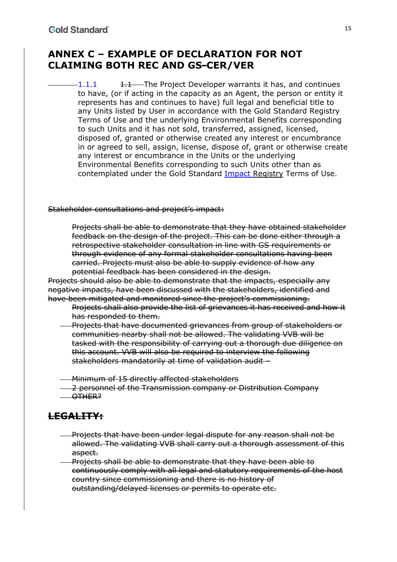# **ANNEX C – EXAMPLE OF DECLARATION FOR NOT CLAIMING BOTH REC AND GS-CER/VER**

 $-1.1.1$   $+1.1$  The Project Developer warrants it has, and continues to have, (or if acting in the capacity as an Agent, the person or entity it represents has and continues to have) full legal and beneficial title to any Units listed by User in accordance with the Gold Standard Registry Terms of Use and the underlying Environmental Benefits corresponding to such Units and it has not sold, transferred, assigned, licensed, disposed of, granted or otherwise created any interest or encumbrance in or agreed to sell, assign, license, dispose of, grant or otherwise create any interest or encumbrance in the Units or the underlying Environmental Benefits corresponding to such Units other than as contemplated under the Gold Standard Impact Registry Terms of Use.

Stakeholder consultations and project's impact:

Projects shall be able to demonstrate that they have obtained stakeholder feedback on the design of the project. This can be done either through a retrospective stakeholder consultation in line with GS requirements or through evidence of any formal stakeholder consultations having been carried. Projects must also be able to supply evidence of how any potential feedback has been considered in the design.

Projects should also be able to demonstrate that the impacts, especially any negative impacts, have been discussed with the stakeholders, identified and have been mitigated and monitored since the project's commissioning.

- Projects shall also provide the list of grievances it has received and how it has responded to them.
- Projects that have documented grievances from group of stakeholders or communities nearby shall not be allowed. The validating VVB will be tasked with the responsibility of carrying out a thorough due diligence on this account. VVB will also be required to interview the following stakeholders mandatorily at time of validation audit –

Minimum of 15 directly affected stakeholders

- 2 personnel of the Transmission company or Distribution Company
- -OTHER?

## **LEGALITY:**

- Projects that have been under legal dispute for any reason shall not be allowed. The validating VVB shall carry out a thorough assessment of this aspect.
- Projects shall be able to demonstrate that they have been able to continuously comply with all legal and statutory requirements of the host country since commissioning and there is no history of outstanding/delayed licenses or permits to operate etc.